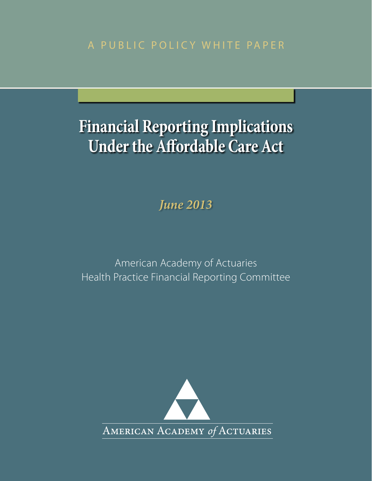A PUBLIC POLICY WHITE PAPER

# **Financial Reporting Implications Under the Affordable Care Act**

*June 2013*

American Academy of Actuaries Health Practice Financial Reporting Committee

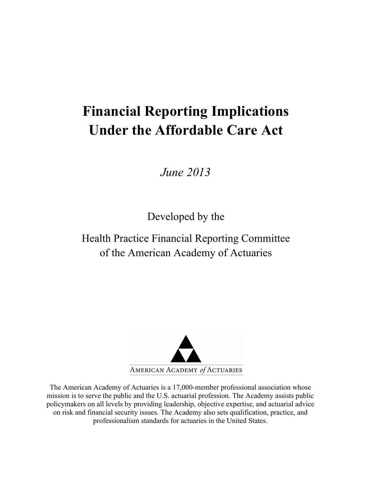## **Financial Reporting Implications Under the Affordable Care Act**

*June 2013*

Developed by the

Health Practice Financial Reporting Committee of the American Academy of Actuaries



The American Academy of Actuaries is a 17,000-member professional association whose mission is to serve the public and the U.S. actuarial profession. The Academy assists public policymakers on all levels by providing leadership, objective expertise, and actuarial advice on risk and financial security issues. The Academy also sets qualification, practice, and professionalism standards for actuaries in the United States.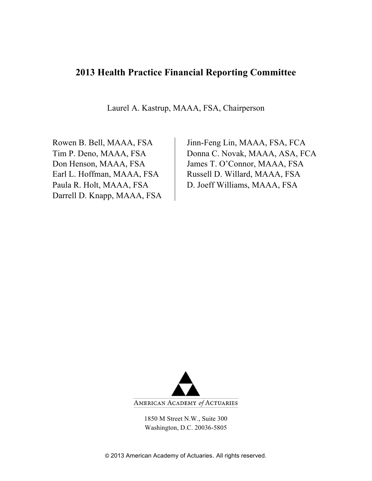## **2013 Health Practice Financial Reporting Committee**

Laurel A. Kastrup, MAAA, FSA, Chairperson

Darrell D. Knapp, MAAA, FSA

Rowen B. Bell, MAAA, FSA Jinn-Feng Lin, MAAA, FSA, FCA Tim P. Deno, MAAA, FSA Donna C. Novak, MAAA, ASA, FCA Don Henson, MAAA, FSA James T. O'Connor, MAAA, FSA Earl L. Hoffman, MAAA, FSA | Russell D. Willard, MAAA, FSA Paula R. Holt, MAAA, FSA D. Joeff Williams, MAAA, FSA



1850 M Street N.W., Suite 300 Washington, D.C. 20036-5805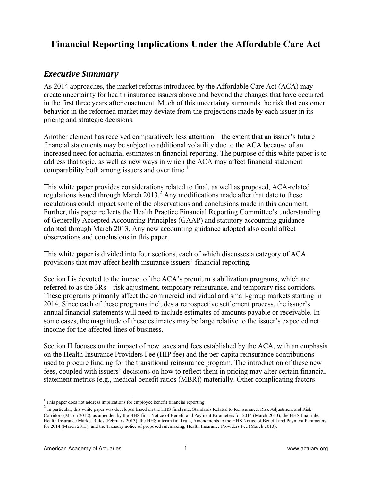## **Financial Reporting Implications Under the Affordable Care Act**

### **Executive Summary**

As 2014 approaches, the market reforms introduced by the Affordable Care Act (ACA) may create uncertainty for health insurance issuers above and beyond the changes that have occurred in the first three years after enactment. Much of this uncertainty surrounds the risk that customer behavior in the reformed market may deviate from the projections made by each issuer in its pricing and strategic decisions.

Another element has received comparatively less attention—the extent that an issuer's future financial statements may be subject to additional volatility due to the ACA because of an increased need for actuarial estimates in financial reporting. The purpose of this white paper is to address that topic, as well as new ways in which the ACA may affect financial statement comparability both among issuers and over time.<sup>1</sup>

This white paper provides considerations related to final, as well as proposed, ACA-related regulations issued through March  $2013<sup>2</sup>$ . Any modifications made after that date to these regulations could impact some of the observations and conclusions made in this document. Further, this paper reflects the Health Practice Financial Reporting Committee's understanding of Generally Accepted Accounting Principles (GAAP) and statutory accounting guidance adopted through March 2013. Any new accounting guidance adopted also could affect observations and conclusions in this paper.

This white paper is divided into four sections, each of which discusses a category of ACA provisions that may affect health insurance issuers' financial reporting.

Section I is devoted to the impact of the ACA's premium stabilization programs, which are referred to as the 3Rs—risk adjustment, temporary reinsurance, and temporary risk corridors. These programs primarily affect the commercial individual and small-group markets starting in 2014. Since each of these programs includes a retrospective settlement process, the issuer's annual financial statements will need to include estimates of amounts payable or receivable. In some cases, the magnitude of these estimates may be large relative to the issuer's expected net income for the affected lines of business.

Section II focuses on the impact of new taxes and fees established by the ACA, with an emphasis on the Health Insurance Providers Fee (HIP fee) and the per-capita reinsurance contributions used to procure funding for the transitional reinsurance program. The introduction of these new fees, coupled with issuers' decisions on how to reflect them in pricing may alter certain financial statement metrics (e.g., medical benefit ratios (MBR)) materially. Other complicating factors

<sup>&</sup>lt;sup>1</sup> This paper does not address implications for employee benefit financial reporting.

<sup>&</sup>lt;sup>2</sup> In particular, this white paper was developed based on the HHS final rule, Standards Related to Reinsurance, Risk Adjustment and Risk Corridors (March 2012), as amended by the HHS final Notice of Benefit and Payment Parameters for 2014 (March 2013); the HHS final rule, Health Insurance Market Rules (February 2013); the HHS interim final rule, Amendments to the HHS Notice of Benefit and Payment Parameters for 2014 (March 2013); and the Treasury notice of proposed rulemaking, Health Insurance Providers Fee (March 2013).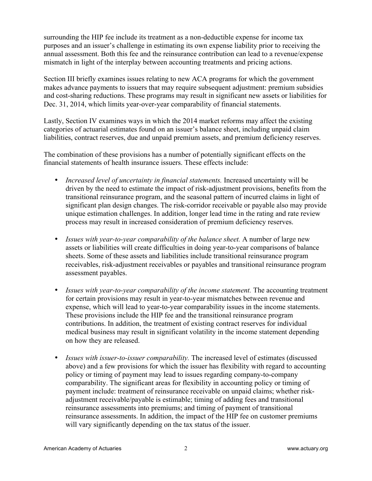surrounding the HIP fee include its treatment as a non-deductible expense for income tax purposes and an issuer's challenge in estimating its own expense liability prior to receiving the annual assessment. Both this fee and the reinsurance contribution can lead to a revenue/expense mismatch in light of the interplay between accounting treatments and pricing actions.

Section III briefly examines issues relating to new ACA programs for which the government makes advance payments to issuers that may require subsequent adjustment: premium subsidies and cost-sharing reductions. These programs may result in significant new assets or liabilities for Dec. 31, 2014, which limits year-over-year comparability of financial statements.

Lastly, Section IV examines ways in which the 2014 market reforms may affect the existing categories of actuarial estimates found on an issuer's balance sheet, including unpaid claim liabilities, contract reserves, due and unpaid premium assets, and premium deficiency reserves.

The combination of these provisions has a number of potentially significant effects on the financial statements of health insurance issuers. These effects include:

- *Increased level of uncertainty in financial statements.* Increased uncertainty will be driven by the need to estimate the impact of risk-adjustment provisions, benefits from the transitional reinsurance program, and the seasonal pattern of incurred claims in light of significant plan design changes. The risk-corridor receivable or payable also may provide unique estimation challenges. In addition, longer lead time in the rating and rate review process may result in increased consideration of premium deficiency reserves.
- *Issues with year-to-year comparability of the balance sheet.* A number of large new assets or liabilities will create difficulties in doing year-to-year comparisons of balance sheets. Some of these assets and liabilities include transitional reinsurance program receivables, risk-adjustment receivables or payables and transitional reinsurance program assessment payables.
- *Issues with year-to-year comparability of the income statement.* The accounting treatment for certain provisions may result in year-to-year mismatches between revenue and expense, which will lead to year-to-year comparability issues in the income statements. These provisions include the HIP fee and the transitional reinsurance program contributions. In addition, the treatment of existing contract reserves for individual medical business may result in significant volatility in the income statement depending on how they are released.
- *Issues with issuer-to-issuer comparability.* The increased level of estimates (discussed above) and a few provisions for which the issuer has flexibility with regard to accounting policy or timing of payment may lead to issues regarding company-to-company comparability. The significant areas for flexibility in accounting policy or timing of payment include: treatment of reinsurance receivable on unpaid claims; whether riskadjustment receivable/payable is estimable; timing of adding fees and transitional reinsurance assessments into premiums; and timing of payment of transitional reinsurance assessments. In addition, the impact of the HIP fee on customer premiums will vary significantly depending on the tax status of the issuer.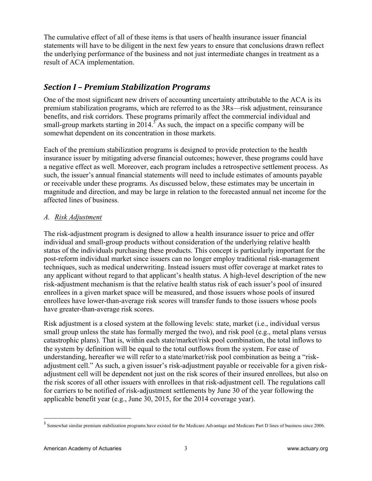The cumulative effect of all of these items is that users of health insurance issuer financial statements will have to be diligent in the next few years to ensure that conclusions drawn reflect the underlying performance of the business and not just intermediate changes in treatment as a result of ACA implementation.

## *Section)I)– Premium Stabilization)Programs*

One of the most significant new drivers of accounting uncertainty attributable to the ACA is its premium stabilization programs, which are referred to as the 3Rs—risk adjustment, reinsurance benefits, and risk corridors. These programs primarily affect the commercial individual and small-group markets starting in  $2014.$ <sup>3</sup> As such, the impact on a specific company will be somewhat dependent on its concentration in those markets.

Each of the premium stabilization programs is designed to provide protection to the health insurance issuer by mitigating adverse financial outcomes; however, these programs could have a negative effect as well. Moreover, each program includes a retrospective settlement process. As such, the issuer's annual financial statements will need to include estimates of amounts payable or receivable under these programs. As discussed below, these estimates may be uncertain in magnitude and direction, and may be large in relation to the forecasted annual net income for the affected lines of business.

#### *A. Risk Adjustment*

The risk-adjustment program is designed to allow a health insurance issuer to price and offer individual and small-group products without consideration of the underlying relative health status of the individuals purchasing these products. This concept is particularly important for the post-reform individual market since issuers can no longer employ traditional risk-management techniques, such as medical underwriting. Instead issuers must offer coverage at market rates to any applicant without regard to that applicant's health status. A high-level description of the new risk-adjustment mechanism is that the relative health status risk of each issuer's pool of insured enrollees in a given market space will be measured, and those issuers whose pools of insured enrollees have lower-than-average risk scores will transfer funds to those issuers whose pools have greater-than-average risk scores.

Risk adjustment is a closed system at the following levels: state, market (i.e., individual versus small group unless the state has formally merged the two), and risk pool (e.g., metal plans versus catastrophic plans). That is, within each state/market/risk pool combination, the total inflows to the system by definition will be equal to the total outflows from the system. For ease of understanding, hereafter we will refer to a state/market/risk pool combination as being a "riskadjustment cell." As such, a given issuer's risk-adjustment payable or receivable for a given riskadjustment cell will be dependent not just on the risk scores of their insured enrollees, but also on the risk scores of all other issuers with enrollees in that risk-adjustment cell. The regulations call for carriers to be notified of risk-adjustment settlements by June 30 of the year following the applicable benefit year (e.g., June 30, 2015, for the 2014 coverage year).

<sup>&</sup>lt;sup>3</sup> Somewhat similar premium stabilization programs have existed for the Medicare Advantage and Medicare Part D lines of business since 2006.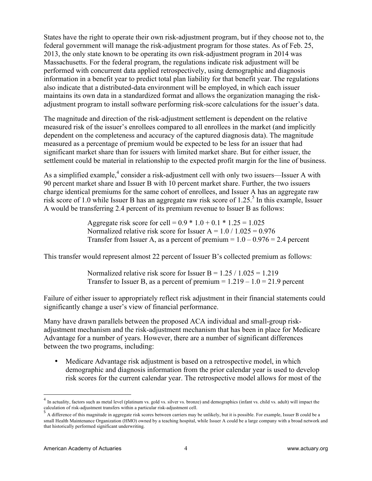States have the right to operate their own risk-adjustment program, but if they choose not to, the federal government will manage the risk-adjustment program for those states. As of Feb. 25, 2013, the only state known to be operating its own risk-adjustment program in 2014 was Massachusetts. For the federal program, the regulations indicate risk adjustment will be performed with concurrent data applied retrospectively, using demographic and diagnosis information in a benefit year to predict total plan liability for that benefit year. The regulations also indicate that a distributed-data environment will be employed, in which each issuer maintains its own data in a standardized format and allows the organization managing the riskadjustment program to install software performing risk-score calculations for the issuer's data.

The magnitude and direction of the risk-adjustment settlement is dependent on the relative measured risk of the issuer's enrollees compared to all enrollees in the market (and implicitly dependent on the completeness and accuracy of the captured diagnosis data). The magnitude measured as a percentage of premium would be expected to be less for an issuer that had significant market share than for issuers with limited market share. But for either issuer, the settlement could be material in relationship to the expected profit margin for the line of business.

As a simplified example,<sup>4</sup> consider a risk-adjustment cell with only two issuers—Issuer A with 90 percent market share and Issuer B with 10 percent market share. Further, the two issuers charge identical premiums for the same cohort of enrollees, and Issuer A has an aggregate raw risk score of 1.0 while Issuer B has an aggregate raw risk score of 1.25.<sup>5</sup> In this example, Issuer A would be transferring 2.4 percent of its premium revenue to Issuer B as follows:

> Aggregate risk score for cell =  $0.9 * 1.0 + 0.1 * 1.25 = 1.025$ Normalized relative risk score for Issuer A =  $1.0 / 1.025 = 0.976$ Transfer from Issuer A, as a percent of premium  $= 1.0 - 0.976 = 2.4$  percent

This transfer would represent almost 22 percent of Issuer B's collected premium as follows:

Normalized relative risk score for Issuer B =  $1.25 / 1.025 = 1.219$ Transfer to Issuer B, as a percent of premium  $= 1.219 - 1.0 = 21.9$  percent

Failure of either issuer to appropriately reflect risk adjustment in their financial statements could significantly change a user's view of financial performance.

Many have drawn parallels between the proposed ACA individual and small-group riskadjustment mechanism and the risk-adjustment mechanism that has been in place for Medicare Advantage for a number of years. However, there are a number of significant differences between the two programs, including:

• Medicare Advantage risk adjustment is based on a retrospective model, in which demographic and diagnosis information from the prior calendar year is used to develop risk scores for the current calendar year. The retrospective model allows for most of the

<sup>&</sup>lt;sup>4</sup> In actuality, factors such as metal level (platinum vs. gold vs. silver vs. bronze) and demographics (infant vs. child vs. adult) will impact the calculation of risk-adjustment transfers within a particular risk-adjus

A difference of this magnitude in aggregate risk scores between carriers may be unlikely, but it is possible. For example, Issuer B could be a small Health Maintenance Organization (HMO) owned by a teaching hospital, while Issuer A could be a large company with a broad network and that historically performed significant underwriting.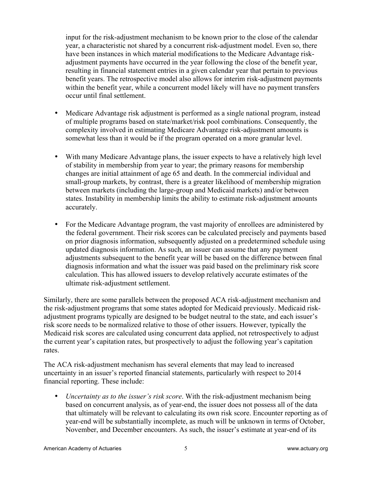input for the risk-adjustment mechanism to be known prior to the close of the calendar year, a characteristic not shared by a concurrent risk-adjustment model. Even so, there have been instances in which material modifications to the Medicare Advantage riskadjustment payments have occurred in the year following the close of the benefit year, resulting in financial statement entries in a given calendar year that pertain to previous benefit years. The retrospective model also allows for interim risk-adjustment payments within the benefit year, while a concurrent model likely will have no payment transfers occur until final settlement.

- Medicare Advantage risk adjustment is performed as a single national program, instead of multiple programs based on state/market/risk pool combinations. Consequently, the complexity involved in estimating Medicare Advantage risk-adjustment amounts is somewhat less than it would be if the program operated on a more granular level.
- With many Medicare Advantage plans, the issuer expects to have a relatively high level of stability in membership from year to year; the primary reasons for membership changes are initial attainment of age 65 and death. In the commercial individual and small-group markets, by contrast, there is a greater likelihood of membership migration between markets (including the large-group and Medicaid markets) and/or between states. Instability in membership limits the ability to estimate risk-adjustment amounts accurately.
- For the Medicare Advantage program, the vast majority of enrollees are administered by the federal government. Their risk scores can be calculated precisely and payments based on prior diagnosis information, subsequently adjusted on a predetermined schedule using updated diagnosis information. As such, an issuer can assume that any payment adjustments subsequent to the benefit year will be based on the difference between final diagnosis information and what the issuer was paid based on the preliminary risk score calculation. This has allowed issuers to develop relatively accurate estimates of the ultimate risk-adjustment settlement.

Similarly, there are some parallels between the proposed ACA risk-adjustment mechanism and the risk-adjustment programs that some states adopted for Medicaid previously. Medicaid riskadjustment programs typically are designed to be budget neutral to the state, and each issuer's risk score needs to be normalized relative to those of other issuers. However, typically the Medicaid risk scores are calculated using concurrent data applied, not retrospectively to adjust the current year's capitation rates, but prospectively to adjust the following year's capitation rates.

The ACA risk-adjustment mechanism has several elements that may lead to increased uncertainty in an issuer's reported financial statements, particularly with respect to 2014 financial reporting. These include:

• *Uncertainty as to the issuer's risk score*. With the risk-adjustment mechanism being based on concurrent analysis, as of year-end, the issuer does not possess all of the data that ultimately will be relevant to calculating its own risk score. Encounter reporting as of year-end will be substantially incomplete, as much will be unknown in terms of October, November, and December encounters. As such, the issuer's estimate at year-end of its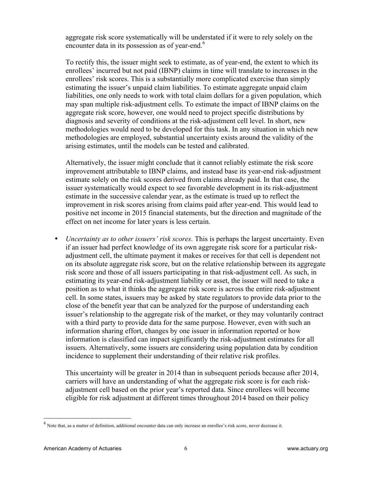aggregate risk score systematically will be understated if it were to rely solely on the encounter data in its possession as of year-end.<sup>6</sup>

To rectify this, the issuer might seek to estimate, as of year-end, the extent to which its enrollees' incurred but not paid (IBNP) claims in time will translate to increases in the enrollees' risk scores. This is a substantially more complicated exercise than simply estimating the issuer's unpaid claim liabilities. To estimate aggregate unpaid claim liabilities, one only needs to work with total claim dollars for a given population, which may span multiple risk-adjustment cells. To estimate the impact of IBNP claims on the aggregate risk score, however, one would need to project specific distributions by diagnosis and severity of conditions at the risk-adjustment cell level. In short, new methodologies would need to be developed for this task. In any situation in which new methodologies are employed, substantial uncertainty exists around the validity of the arising estimates, until the models can be tested and calibrated.

Alternatively, the issuer might conclude that it cannot reliably estimate the risk score improvement attributable to IBNP claims, and instead base its year-end risk-adjustment estimate solely on the risk scores derived from claims already paid. In that case, the issuer systematically would expect to see favorable development in its risk-adjustment estimate in the successive calendar year, as the estimate is trued up to reflect the improvement in risk scores arising from claims paid after year-end. This would lead to positive net income in 2015 financial statements, but the direction and magnitude of the effect on net income for later years is less certain.

• *Uncertainty as to other issuers' risk scores*. This is perhaps the largest uncertainty. Even if an issuer had perfect knowledge of its own aggregate risk score for a particular riskadjustment cell, the ultimate payment it makes or receives for that cell is dependent not on its absolute aggregate risk score, but on the relative relationship between its aggregate risk score and those of all issuers participating in that risk-adjustment cell. As such, in estimating its year-end risk-adjustment liability or asset, the issuer will need to take a position as to what it thinks the aggregate risk score is across the entire risk-adjustment cell. In some states, issuers may be asked by state regulators to provide data prior to the close of the benefit year that can be analyzed for the purpose of understanding each issuer's relationship to the aggregate risk of the market, or they may voluntarily contract with a third party to provide data for the same purpose. However, even with such an information sharing effort, changes by one issuer in information reported or how information is classified can impact significantly the risk-adjustment estimates for all issuers. Alternatively, some issuers are considering using population data by condition incidence to supplement their understanding of their relative risk profiles.

This uncertainty will be greater in 2014 than in subsequent periods because after 2014, carriers will have an understanding of what the aggregate risk score is for each riskadjustment cell based on the prior year's reported data. Since enrollees will become eligible for risk adjustment at different times throughout 2014 based on their policy

<sup>6</sup> Note that, as a matter of definition, additional encounter data can only increase an enrollee's risk score, never decrease it.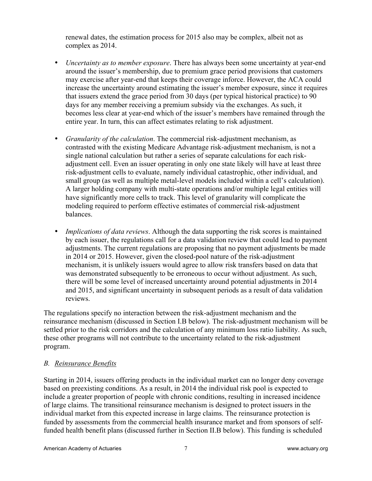renewal dates, the estimation process for 2015 also may be complex, albeit not as complex as 2014.

- *Uncertainty as to member exposure*. There has always been some uncertainty at year-end around the issuer's membership, due to premium grace period provisions that customers may exercise after year-end that keeps their coverage inforce. However, the ACA could increase the uncertainty around estimating the issuer's member exposure, since it requires that issuers extend the grace period from 30 days (per typical historical practice) to 90 days for any member receiving a premium subsidy via the exchanges. As such, it becomes less clear at year-end which of the issuer's members have remained through the entire year. In turn, this can affect estimates relating to risk adjustment.
- *Granularity of the calculation*. The commercial risk-adjustment mechanism, as contrasted with the existing Medicare Advantage risk-adjustment mechanism, is not a single national calculation but rather a series of separate calculations for each riskadjustment cell. Even an issuer operating in only one state likely will have at least three risk-adjustment cells to evaluate, namely individual catastrophic, other individual, and small group (as well as multiple metal-level models included within a cell's calculation). A larger holding company with multi-state operations and/or multiple legal entities will have significantly more cells to track. This level of granularity will complicate the modeling required to perform effective estimates of commercial risk-adjustment balances.
- *Implications of data reviews*. Although the data supporting the risk scores is maintained by each issuer, the regulations call for a data validation review that could lead to payment adjustments. The current regulations are proposing that no payment adjustments be made in 2014 or 2015. However, given the closed-pool nature of the risk-adjustment mechanism, it is unlikely issuers would agree to allow risk transfers based on data that was demonstrated subsequently to be erroneous to occur without adjustment. As such, there will be some level of increased uncertainty around potential adjustments in 2014 and 2015, and significant uncertainty in subsequent periods as a result of data validation reviews.

The regulations specify no interaction between the risk-adjustment mechanism and the reinsurance mechanism (discussed in Section I.B below). The risk-adjustment mechanism will be settled prior to the risk corridors and the calculation of any minimum loss ratio liability. As such, these other programs will not contribute to the uncertainty related to the risk-adjustment program.

#### *B. Reinsurance Benefits*

Starting in 2014, issuers offering products in the individual market can no longer deny coverage based on preexisting conditions. As a result, in 2014 the individual risk pool is expected to include a greater proportion of people with chronic conditions, resulting in increased incidence of large claims. The transitional reinsurance mechanism is designed to protect issuers in the individual market from this expected increase in large claims. The reinsurance protection is funded by assessments from the commercial health insurance market and from sponsors of selffunded health benefit plans (discussed further in Section II.B below). This funding is scheduled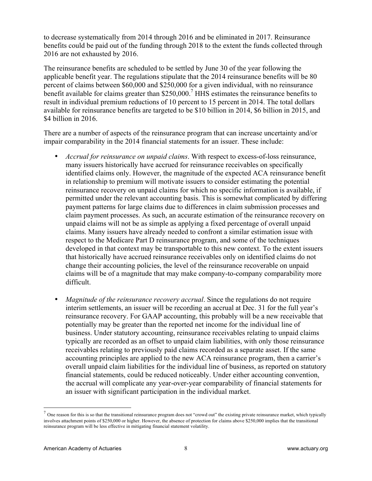to decrease systematically from 2014 through 2016 and be eliminated in 2017. Reinsurance benefits could be paid out of the funding through 2018 to the extent the funds collected through 2016 are not exhausted by 2016.

The reinsurance benefits are scheduled to be settled by June 30 of the year following the applicable benefit year. The regulations stipulate that the 2014 reinsurance benefits will be 80 percent of claims between \$60,000 and \$250,000 for a given individual, with no reinsurance benefit available for claims greater than  $$250,000$ .<sup>7</sup> HHS estimates the reinsurance benefits to result in individual premium reductions of 10 percent to 15 percent in 2014. The total dollars available for reinsurance benefits are targeted to be \$10 billion in 2014, \$6 billion in 2015, and \$4 billion in 2016.

There are a number of aspects of the reinsurance program that can increase uncertainty and/or impair comparability in the 2014 financial statements for an issuer. These include:

- *Accrual for reinsurance on unpaid claims*. With respect to excess-of-loss reinsurance, many issuers historically have accrued for reinsurance receivables on specifically identified claims only. However, the magnitude of the expected ACA reinsurance benefit in relationship to premium will motivate issuers to consider estimating the potential reinsurance recovery on unpaid claims for which no specific information is available, if permitted under the relevant accounting basis. This is somewhat complicated by differing payment patterns for large claims due to differences in claim submission processes and claim payment processes. As such, an accurate estimation of the reinsurance recovery on unpaid claims will not be as simple as applying a fixed percentage of overall unpaid claims. Many issuers have already needed to confront a similar estimation issue with respect to the Medicare Part D reinsurance program, and some of the techniques developed in that context may be transportable to this new context. To the extent issuers that historically have accrued reinsurance receivables only on identified claims do not change their accounting policies, the level of the reinsurance recoverable on unpaid claims will be of a magnitude that may make company-to-company comparability more difficult.
- *Magnitude of the reinsurance recovery accrual*. Since the regulations do not require interim settlements, an issuer will be recording an accrual at Dec. 31 for the full year's reinsurance recovery. For GAAP accounting, this probably will be a new receivable that potentially may be greater than the reported net income for the individual line of business. Under statutory accounting, reinsurance receivables relating to unpaid claims typically are recorded as an offset to unpaid claim liabilities, with only those reinsurance receivables relating to previously paid claims recorded as a separate asset. If the same accounting principles are applied to the new ACA reinsurance program, then a carrier's overall unpaid claim liabilities for the individual line of business, as reported on statutory financial statements, could be reduced noticeably. Under either accounting convention, the accrual will complicate any year-over-year comparability of financial statements for an issuer with significant participation in the individual market.

 $1$  One reason for this is so that the transitional reinsurance program does not "crowd out" the existing private reinsurance market, which typically involves attachment points of \$250,000 or higher. However, the absence of protection for claims above \$250,000 implies that the transitional reinsurance program will be less effective in mitigating financial statement volatility.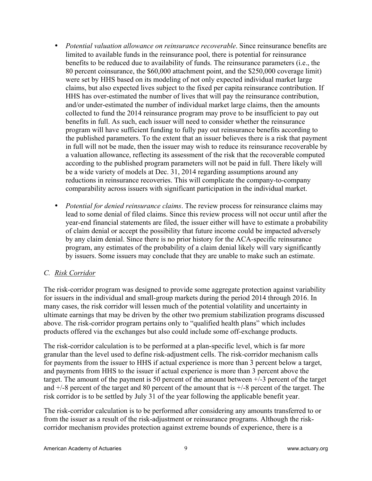- *Potential valuation allowance on reinsurance recoverable*. Since reinsurance benefits are limited to available funds in the reinsurance pool, there is potential for reinsurance benefits to be reduced due to availability of funds. The reinsurance parameters (i.e., the 80 percent coinsurance, the \$60,000 attachment point, and the \$250,000 coverage limit) were set by HHS based on its modeling of not only expected individual market large claims, but also expected lives subject to the fixed per capita reinsurance contribution. If HHS has over-estimated the number of lives that will pay the reinsurance contribution, and/or under-estimated the number of individual market large claims, then the amounts collected to fund the 2014 reinsurance program may prove to be insufficient to pay out benefits in full. As such, each issuer will need to consider whether the reinsurance program will have sufficient funding to fully pay out reinsurance benefits according to the published parameters. To the extent that an issuer believes there is a risk that payment in full will not be made, then the issuer may wish to reduce its reinsurance recoverable by a valuation allowance, reflecting its assessment of the risk that the recoverable computed according to the published program parameters will not be paid in full. There likely will be a wide variety of models at Dec. 31, 2014 regarding assumptions around any reductions in reinsurance recoveries. This will complicate the company-to-company comparability across issuers with significant participation in the individual market.
- *Potential for denied reinsurance claims*. The review process for reinsurance claims may lead to some denial of filed claims. Since this review process will not occur until after the year-end financial statements are filed, the issuer either will have to estimate a probability of claim denial or accept the possibility that future income could be impacted adversely by any claim denial. Since there is no prior history for the ACA-specific reinsurance program, any estimates of the probability of a claim denial likely will vary significantly by issuers. Some issuers may conclude that they are unable to make such an estimate.

#### *C. Risk Corridor*

The risk-corridor program was designed to provide some aggregate protection against variability for issuers in the individual and small-group markets during the period 2014 through 2016. In many cases, the risk corridor will lessen much of the potential volatility and uncertainty in ultimate earnings that may be driven by the other two premium stabilization programs discussed above. The risk-corridor program pertains only to "qualified health plans" which includes products offered via the exchanges but also could include some off-exchange products.

The risk-corridor calculation is to be performed at a plan-specific level, which is far more granular than the level used to define risk-adjustment cells. The risk-corridor mechanism calls for payments from the issuer to HHS if actual experience is more than 3 percent below a target, and payments from HHS to the issuer if actual experience is more than 3 percent above the target. The amount of the payment is 50 percent of the amount between +/-3 percent of the target and +/-8 percent of the target and 80 percent of the amount that is +/-8 percent of the target. The risk corridor is to be settled by July 31 of the year following the applicable benefit year.

The risk-corridor calculation is to be performed after considering any amounts transferred to or from the issuer as a result of the risk-adjustment or reinsurance programs. Although the riskcorridor mechanism provides protection against extreme bounds of experience, there is a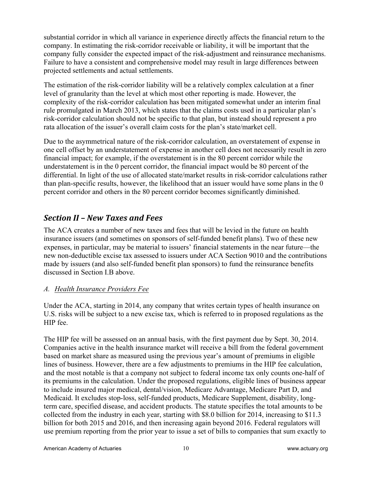substantial corridor in which all variance in experience directly affects the financial return to the company. In estimating the risk-corridor receivable or liability, it will be important that the company fully consider the expected impact of the risk-adjustment and reinsurance mechanisms. Failure to have a consistent and comprehensive model may result in large differences between projected settlements and actual settlements.

The estimation of the risk-corridor liability will be a relatively complex calculation at a finer level of granularity than the level at which most other reporting is made. However, the complexity of the risk-corridor calculation has been mitigated somewhat under an interim final rule promulgated in March 2013, which states that the claims costs used in a particular plan's risk-corridor calculation should not be specific to that plan, but instead should represent a pro rata allocation of the issuer's overall claim costs for the plan's state/market cell.

Due to the asymmetrical nature of the risk-corridor calculation, an overstatement of expense in one cell offset by an understatement of expense in another cell does not necessarily result in zero financial impact; for example, if the overstatement is in the 80 percent corridor while the understatement is in the 0 percent corridor, the financial impact would be 80 percent of the differential. In light of the use of allocated state/market results in risk-corridor calculations rather than plan-specific results, however, the likelihood that an issuer would have some plans in the 0 percent corridor and others in the 80 percent corridor becomes significantly diminished.

## *Section)II)– New)Taxes)and)Fees*

The ACA creates a number of new taxes and fees that will be levied in the future on health insurance issuers (and sometimes on sponsors of self-funded benefit plans). Two of these new expenses, in particular, may be material to issuers' financial statements in the near future—the new non-deductible excise tax assessed to issuers under ACA Section 9010 and the contributions made by issuers (and also self-funded benefit plan sponsors) to fund the reinsurance benefits discussed in Section I.B above.

#### *A. Health Insurance Providers Fee*

Under the ACA, starting in 2014, any company that writes certain types of health insurance on U.S. risks will be subject to a new excise tax, which is referred to in proposed regulations as the HIP fee.

The HIP fee will be assessed on an annual basis, with the first payment due by Sept. 30, 2014. Companies active in the health insurance market will receive a bill from the federal government based on market share as measured using the previous year's amount of premiums in eligible lines of business. However, there are a few adjustments to premiums in the HIP fee calculation, and the most notable is that a company not subject to federal income tax only counts one-half of its premiums in the calculation. Under the proposed regulations, eligible lines of business appear to include insured major medical, dental/vision, Medicare Advantage, Medicare Part D, and Medicaid. It excludes stop-loss, self-funded products, Medicare Supplement, disability, longterm care, specified disease, and accident products. The statute specifies the total amounts to be collected from the industry in each year, starting with \$8.0 billion for 2014, increasing to \$11.3 billion for both 2015 and 2016, and then increasing again beyond 2016. Federal regulators will use premium reporting from the prior year to issue a set of bills to companies that sum exactly to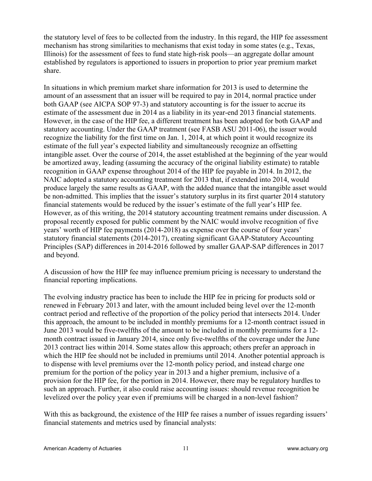the statutory level of fees to be collected from the industry. In this regard, the HIP fee assessment mechanism has strong similarities to mechanisms that exist today in some states (e.g., Texas, Illinois) for the assessment of fees to fund state high-risk pools—an aggregate dollar amount established by regulators is apportioned to issuers in proportion to prior year premium market share.

In situations in which premium market share information for 2013 is used to determine the amount of an assessment that an issuer will be required to pay in 2014, normal practice under both GAAP (see AICPA SOP 97-3) and statutory accounting is for the issuer to accrue its estimate of the assessment due in 2014 as a liability in its year-end 2013 financial statements. However, in the case of the HIP fee, a different treatment has been adopted for both GAAP and statutory accounting. Under the GAAP treatment (see FASB ASU 2011-06), the issuer would recognize the liability for the first time on Jan. 1, 2014, at which point it would recognize its estimate of the full year's expected liability and simultaneously recognize an offsetting intangible asset. Over the course of 2014, the asset established at the beginning of the year would be amortized away, leading (assuming the accuracy of the original liability estimate) to ratable recognition in GAAP expense throughout 2014 of the HIP fee payable in 2014. In 2012, the NAIC adopted a statutory accounting treatment for 2013 that, if extended into 2014, would produce largely the same results as GAAP, with the added nuance that the intangible asset would be non-admitted. This implies that the issuer's statutory surplus in its first quarter 2014 statutory financial statements would be reduced by the issuer's estimate of the full year's HIP fee. However, as of this writing, the 2014 statutory accounting treatment remains under discussion. A proposal recently exposed for public comment by the NAIC would involve recognition of five years' worth of HIP fee payments (2014-2018) as expense over the course of four years' statutory financial statements (2014-2017), creating significant GAAP-Statutory Accounting Principles (SAP) differences in 2014-2016 followed by smaller GAAP-SAP differences in 2017 and beyond.

A discussion of how the HIP fee may influence premium pricing is necessary to understand the financial reporting implications.

The evolving industry practice has been to include the HIP fee in pricing for products sold or renewed in February 2013 and later, with the amount included being level over the 12-month contract period and reflective of the proportion of the policy period that intersects 2014. Under this approach, the amount to be included in monthly premiums for a 12-month contract issued in June 2013 would be five-twelfths of the amount to be included in monthly premiums for a 12 month contract issued in January 2014, since only five-twelfths of the coverage under the June 2013 contract lies within 2014. Some states allow this approach; others prefer an approach in which the HIP fee should not be included in premiums until 2014. Another potential approach is to dispense with level premiums over the 12-month policy period, and instead charge one premium for the portion of the policy year in 2013 and a higher premium, inclusive of a provision for the HIP fee, for the portion in 2014. However, there may be regulatory hurdles to such an approach. Further, it also could raise accounting issues: should revenue recognition be levelized over the policy year even if premiums will be charged in a non-level fashion?

With this as background, the existence of the HIP fee raises a number of issues regarding issuers' financial statements and metrics used by financial analysts: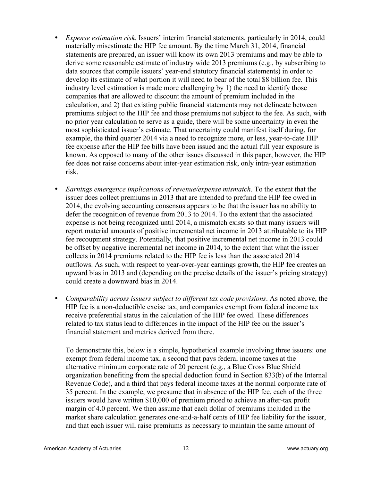- *Expense estimation risk*. Issuers' interim financial statements, particularly in 2014, could materially misestimate the HIP fee amount. By the time March 31, 2014, financial statements are prepared, an issuer will know its own 2013 premiums and may be able to derive some reasonable estimate of industry wide 2013 premiums (e.g., by subscribing to data sources that compile issuers' year-end statutory financial statements) in order to develop its estimate of what portion it will need to bear of the total \$8 billion fee. This industry level estimation is made more challenging by 1) the need to identify those companies that are allowed to discount the amount of premium included in the calculation, and 2) that existing public financial statements may not delineate between premiums subject to the HIP fee and those premiums not subject to the fee. As such, with no prior year calculation to serve as a guide, there will be some uncertainty in even the most sophisticated issuer's estimate. That uncertainty could manifest itself during, for example, the third quarter 2014 via a need to recognize more, or less, year-to-date HIP fee expense after the HIP fee bills have been issued and the actual full year exposure is known. As opposed to many of the other issues discussed in this paper, however, the HIP fee does not raise concerns about inter-year estimation risk, only intra-year estimation risk.
- *Earnings emergence implications of revenue/expense mismatch*. To the extent that the issuer does collect premiums in 2013 that are intended to prefund the HIP fee owed in 2014, the evolving accounting consensus appears to be that the issuer has no ability to defer the recognition of revenue from 2013 to 2014. To the extent that the associated expense is not being recognized until 2014, a mismatch exists so that many issuers will report material amounts of positive incremental net income in 2013 attributable to its HIP fee recoupment strategy. Potentially, that positive incremental net income in 2013 could be offset by negative incremental net income in 2014, to the extent that what the issuer collects in 2014 premiums related to the HIP fee is less than the associated 2014 outflows. As such, with respect to year-over-year earnings growth, the HIP fee creates an upward bias in 2013 and (depending on the precise details of the issuer's pricing strategy) could create a downward bias in 2014.
- *Comparability across issuers subject to different tax code provisions*. As noted above, the HIP fee is a non-deductible excise tax, and companies exempt from federal income tax receive preferential status in the calculation of the HIP fee owed. These differences related to tax status lead to differences in the impact of the HIP fee on the issuer's financial statement and metrics derived from there.

To demonstrate this, below is a simple, hypothetical example involving three issuers: one exempt from federal income tax, a second that pays federal income taxes at the alternative minimum corporate rate of 20 percent (e.g., a Blue Cross Blue Shield organization benefiting from the special deduction found in Section 833(b) of the Internal Revenue Code), and a third that pays federal income taxes at the normal corporate rate of 35 percent. In the example, we presume that in absence of the HIP fee, each of the three issuers would have written \$10,000 of premium priced to achieve an after-tax profit margin of 4.0 percent. We then assume that each dollar of premiums included in the market share calculation generates one-and-a-half cents of HIP fee liability for the issuer, and that each issuer will raise premiums as necessary to maintain the same amount of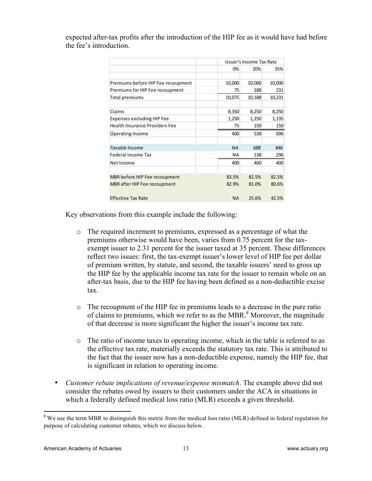| expected after-tax profits after the introduction of the HIP fee as it would have had before |  |  |  |  |
|----------------------------------------------------------------------------------------------|--|--|--|--|
| the fee's introduction.                                                                      |  |  |  |  |

|                                       |           | Issuer's Income Tax Rate |        |  |  |
|---------------------------------------|-----------|--------------------------|--------|--|--|
|                                       | 0%        | 20%                      | 35%    |  |  |
|                                       |           |                          |        |  |  |
| Premiums before HIP Fee recoupment    | 10,000    | 10,000                   | 10,000 |  |  |
| Premiums for HIP Fee recoupment       | 75        | 188                      | 231    |  |  |
| Total premiums                        | 10,075    | 10,188                   | 10,231 |  |  |
|                                       |           |                          |        |  |  |
| Claims                                | 8,350     | 8,250                    | 8,250  |  |  |
| <b>Expenses excluding HIP Fee</b>     | 1,250     | 1,250                    | 1,135  |  |  |
| <b>Health Insurance Providers Fee</b> | 75        | 150                      | 150    |  |  |
| Operating Income                      | 400       | 538                      | 696    |  |  |
|                                       |           |                          |        |  |  |
| Taxable Income                        | <b>NA</b> | 688                      | 846    |  |  |
| <b>Federal Income Tax</b>             | <b>NA</b> | 138                      | 296    |  |  |
| Net Income                            | 400       | 400                      | 400    |  |  |
|                                       |           |                          |        |  |  |
| MBR before HIP Fee recoupment         | 83.5%     | 82.5%                    | 82.5%  |  |  |
| MBR after HIP Fee recoupment          | 82.9%     | 81.0%                    | 80.6%  |  |  |
|                                       |           |                          |        |  |  |
| <b>Effective Tax Rate</b>             | <b>NA</b> | 25.6%                    | 42.5%  |  |  |

Key observations from this example include the following:

- o The required increment to premiums, expressed as a percentage of what the premiums otherwise would have been, varies from 0.75 percent for the taxexempt issuer to 2.31 percent for the issuer taxed at 35 percent. These differences reflect two issues: first, the tax-exempt issuer's lower level of HIP fee per dollar of premium written, by statute, and second, the taxable issuers' need to gross up the HIP fee by the applicable income tax rate for the issuer to remain whole on an after-tax basis, due to the HIP fee having been defined as a non-deductible excise tax.
- o The recoupment of the HIP fee in premiums leads to a decrease in the pure ratio of claims to premiums, which we refer to as the MBR. $\textsuperscript{8}$  Moreover, the magnitude of that decrease is more significant the higher the issuer's income tax rate.
- o The ratio of income taxes to operating income, which in the table is referred to as the effective tax rate, materially exceeds the statutory tax rate. This is attributed to the fact that the issuer now has a non-deductible expense, namely the HIP fee, that is significant in relation to operating income.
- *Customer rebate implications of revenue/expense mismatch*. The example above did not consider the rebates owed by issuers to their customers under the ACA in situations in which a federally defined medical loss ratio (MLR) exceeds a given threshold.

<sup>&</sup>lt;sup>8</sup> We use the term MBR to distinguish this metric from the medical loss ratio (MLR) defined in federal regulation for purpose of calculating customer rebates, which we discuss below.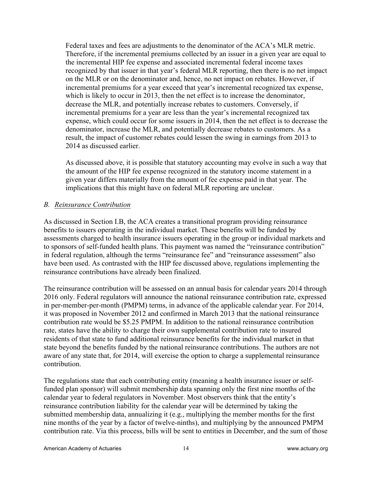Federal taxes and fees are adjustments to the denominator of the ACA's MLR metric. Therefore, if the incremental premiums collected by an issuer in a given year are equal to the incremental HIP fee expense and associated incremental federal income taxes recognized by that issuer in that year's federal MLR reporting, then there is no net impact on the MLR or on the denominator and, hence, no net impact on rebates. However, if incremental premiums for a year exceed that year's incremental recognized tax expense, which is likely to occur in 2013, then the net effect is to increase the denominator, decrease the MLR, and potentially increase rebates to customers. Conversely, if incremental premiums for a year are less than the year's incremental recognized tax expense, which could occur for some issuers in 2014, then the net effect is to decrease the denominator, increase the MLR, and potentially decrease rebates to customers. As a result, the impact of customer rebates could lessen the swing in earnings from 2013 to 2014 as discussed earlier.

As discussed above, it is possible that statutory accounting may evolve in such a way that the amount of the HIP fee expense recognized in the statutory income statement in a given year differs materially from the amount of fee expense paid in that year. The implications that this might have on federal MLR reporting are unclear.

#### *B. Reinsurance Contribution*

As discussed in Section I.B, the ACA creates a transitional program providing reinsurance benefits to issuers operating in the individual market. These benefits will be funded by assessments charged to health insurance issuers operating in the group or individual markets and to sponsors of self-funded health plans. This payment was named the "reinsurance contribution" in federal regulation, although the terms "reinsurance fee" and "reinsurance assessment" also have been used. As contrasted with the HIP fee discussed above, regulations implementing the reinsurance contributions have already been finalized.

The reinsurance contribution will be assessed on an annual basis for calendar years 2014 through 2016 only. Federal regulators will announce the national reinsurance contribution rate, expressed in per-member-per-month (PMPM) terms, in advance of the applicable calendar year. For 2014, it was proposed in November 2012 and confirmed in March 2013 that the national reinsurance contribution rate would be \$5.25 PMPM. In addition to the national reinsurance contribution rate, states have the ability to charge their own supplemental contribution rate to insured residents of that state to fund additional reinsurance benefits for the individual market in that state beyond the benefits funded by the national reinsurance contributions. The authors are not aware of any state that, for 2014, will exercise the option to charge a supplemental reinsurance contribution.

The regulations state that each contributing entity (meaning a health insurance issuer or selffunded plan sponsor) will submit membership data spanning only the first nine months of the calendar year to federal regulators in November. Most observers think that the entity's reinsurance contribution liability for the calendar year will be determined by taking the submitted membership data, annualizing it (e.g., multiplying the member months for the first nine months of the year by a factor of twelve-ninths), and multiplying by the announced PMPM contribution rate. Via this process, bills will be sent to entities in December, and the sum of those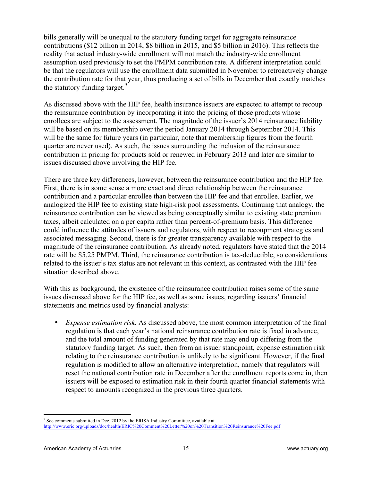bills generally will be unequal to the statutory funding target for aggregate reinsurance contributions (\$12 billion in 2014, \$8 billion in 2015, and \$5 billion in 2016). This reflects the reality that actual industry-wide enrollment will not match the industry-wide enrollment assumption used previously to set the PMPM contribution rate. A different interpretation could be that the regulators will use the enrollment data submitted in November to retroactively change the contribution rate for that year, thus producing a set of bills in December that exactly matches the statutory funding target.<sup>9</sup>

As discussed above with the HIP fee, health insurance issuers are expected to attempt to recoup the reinsurance contribution by incorporating it into the pricing of those products whose enrollees are subject to the assessment. The magnitude of the issuer's 2014 reinsurance liability will be based on its membership over the period January 2014 through September 2014. This will be the same for future years (in particular, note that membership figures from the fourth quarter are never used). As such, the issues surrounding the inclusion of the reinsurance contribution in pricing for products sold or renewed in February 2013 and later are similar to issues discussed above involving the HIP fee.

There are three key differences, however, between the reinsurance contribution and the HIP fee. First, there is in some sense a more exact and direct relationship between the reinsurance contribution and a particular enrollee than between the HIP fee and that enrollee. Earlier, we analogized the HIP fee to existing state high-risk pool assessments. Continuing that analogy, the reinsurance contribution can be viewed as being conceptually similar to existing state premium taxes, albeit calculated on a per capita rather than percent-of-premium basis. This difference could influence the attitudes of issuers and regulators, with respect to recoupment strategies and associated messaging. Second, there is far greater transparency available with respect to the magnitude of the reinsurance contribution. As already noted, regulators have stated that the 2014 rate will be \$5.25 PMPM. Third, the reinsurance contribution is tax-deductible, so considerations related to the issuer's tax status are not relevant in this context, as contrasted with the HIP fee situation described above.

With this as background, the existence of the reinsurance contribution raises some of the same issues discussed above for the HIP fee, as well as some issues, regarding issuers' financial statements and metrics used by financial analysts:

• *Expense estimation risk*. As discussed above, the most common interpretation of the final regulation is that each year's national reinsurance contribution rate is fixed in advance, and the total amount of funding generated by that rate may end up differing from the statutory funding target. As such, then from an issuer standpoint, expense estimation risk relating to the reinsurance contribution is unlikely to be significant. However, if the final regulation is modified to allow an alternative interpretation, namely that regulators will reset the national contribution rate in December after the enrollment reports come in, then issuers will be exposed to estimation risk in their fourth quarter financial statements with respect to amounts recognized in the previous three quarters.

<sup>!!!!!!!!!!!!!!!!!!!!!!!!!!!!!!!!!!!!!!!!!!!!!!!!!!!!!!!!!!!!</sup>  $9^9$  See comments submitted in Dec. 2012 by the ERISA Industry Committee, available at http://www.eric.org/uploads/doc/health/ERIC%20Comment%20Letter%20on%20Transition%20Reinsurance%20Fee.pdf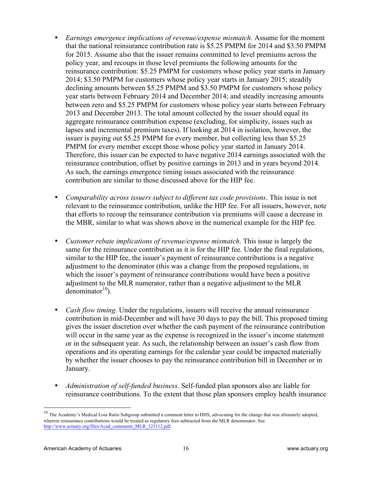- *Earnings emergence implications of revenue/expense mismatch*. Assume for the moment that the national reinsurance contribution rate is \$5.25 PMPM for 2014 and \$3.50 PMPM for 2015. Assume also that the issuer remains committed to level premiums across the policy year, and recoups in those level premiums the following amounts for the reinsurance contribution: \$5.25 PMPM for customers whose policy year starts in January 2014; \$3.50 PMPM for customers whose policy year starts in January 2015; steadily declining amounts between \$5.25 PMPM and \$3.50 PMPM for customers whose policy year starts between February 2014 and December 2014; and steadily increasing amounts between zero and \$5.25 PMPM for customers whose policy year starts between February 2013 and December 2013. The total amount collected by the issuer should equal its aggregate reinsurance contribution expense (excluding, for simplicity, issues such as lapses and incremental premium taxes). If looking at 2014 in isolation, however, the issuer is paying out \$5.25 PMPM for every member, but collecting less than \$5.25 PMPM for every member except those whose policy year started in January 2014. Therefore, this issuer can be expected to have negative 2014 earnings associated with the reinsurance contribution, offset by positive earnings in 2013 and in years beyond 2014. As such, the earnings emergence timing issues associated with the reinsurance contribution are similar to those discussed above for the HIP fee.
- *Comparability across issuers subject to different tax code provisions*. This issue is not relevant to the reinsurance contribution, unlike the HIP fee. For all issuers, however, note that efforts to recoup the reinsurance contribution via premiums will cause a decrease in the MBR, similar to what was shown above in the numerical example for the HIP fee.
- *Customer rebate implications of revenue/expense mismatch*. This issue is largely the same for the reinsurance contribution as it is for the HIP fee. Under the final regulations, similar to the HIP fee, the issuer's payment of reinsurance contributions is a negative adjustment to the denominator (this was a change from the proposed regulations, in which the issuer's payment of reinsurance contributions would have been a positive adjustment to the MLR numerator, rather than a negative adjustment to the MLR denominator $10$ .
- *Cash flow timing*. Under the regulations, issuers will receive the annual reinsurance contribution in mid-December and will have 30 days to pay the bill. This proposed timing gives the issuer discretion over whether the cash payment of the reinsurance contribution will occur in the same year as the expense is recognized in the issuer's income statement or in the subsequent year. As such, the relationship between an issuer's cash flow from operations and its operating earnings for the calendar year could be impacted materially by whether the issuer chooses to pay the reinsurance contribution bill in December or in January.
- *Administration of self-funded business*. Self-funded plan sponsors also are liable for reinsurance contributions. To the extent that those plan sponsors employ health insurance

 $10$  The Academy's Medical Loss Ratio Subgroup submitted a comment letter to HHS, advocating for the change that was ultimately adopted, wherein reinsurance contributions would be treated as regulatory fees subtracted from the MLR denominator. See http://www.actuary.org/files/Acad\_comments\_MLR\_123112.pdf.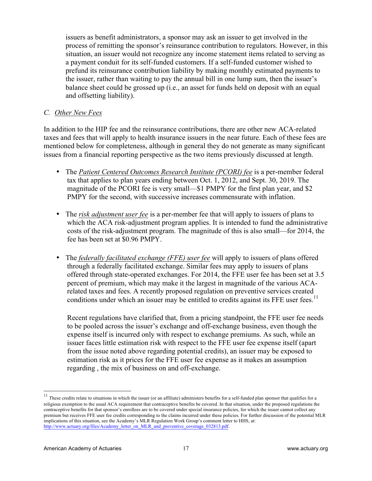issuers as benefit administrators, a sponsor may ask an issuer to get involved in the process of remitting the sponsor's reinsurance contribution to regulators. However, in this situation, an issuer would not recognize any income statement items related to serving as a payment conduit for its self-funded customers. If a self-funded customer wished to prefund its reinsurance contribution liability by making monthly estimated payments to the issuer, rather than waiting to pay the annual bill in one lump sum, then the issuer's balance sheet could be grossed up (i.e., an asset for funds held on deposit with an equal and offsetting liability).

#### *C. Other New Fees*

In addition to the HIP fee and the reinsurance contributions, there are other new ACA-related taxes and fees that will apply to health insurance issuers in the near future. Each of these fees are mentioned below for completeness, although in general they do not generate as many significant issues from a financial reporting perspective as the two items previously discussed at length.

- The *Patient Centered Outcomes Research Institute (PCORI) fee* is a per-member federal tax that applies to plan years ending between Oct. 1, 2012, and Sept. 30, 2019. The magnitude of the PCORI fee is very small—\$1 PMPY for the first plan year, and \$2 PMPY for the second, with successive increases commensurate with inflation.
- The *risk adjustment user fee* is a per-member fee that will apply to issuers of plans to which the ACA risk-adjustment program applies. It is intended to fund the administrative costs of the risk-adjustment program. The magnitude of this is also small—for 2014, the fee has been set at \$0.96 PMPY.
- The *federally facilitated exchange (FFE) user fee* will apply to issuers of plans offered through a federally facilitated exchange. Similar fees may apply to issuers of plans offered through state-operated exchanges. For 2014, the FFE user fee has been set at 3.5 percent of premium, which may make it the largest in magnitude of the various ACArelated taxes and fees. A recently proposed regulation on preventive services created conditions under which an issuer may be entitled to credits against its FFE user fees.<sup>11</sup>

Recent regulations have clarified that, from a pricing standpoint, the FFE user fee needs to be pooled across the issuer's exchange and off-exchange business, even though the expense itself is incurred only with respect to exchange premiums. As such, while an issuer faces little estimation risk with respect to the FFE user fee expense itself (apart from the issue noted above regarding potential credits), an issuer may be exposed to estimation risk as it prices for the FFE user fee expense as it makes an assumption regarding , the mix of business on and off-exchange.

 $11$  These credits relate to situations in which the issuer (or an affiliate) administers benefits for a self-funded plan sponsor that qualifies for a religious exemption to the usual ACA requirement that contraceptive benefits be covered. In that situation, under the proposed regulations the contraceptive benefits for that sponsor's enrollees are to be covered under special insurance policies, for which the issuer cannot collect any premium but receives FFE user fee credits corresponding to the claims incurred under these policies. For further discussion of the potential MLR implications of this situation, see the Academy's MLR Regulation Work Group's comment letter to HHS, at: http://www.actuary.org/files/Academy\_letter\_on\_MLR\_and\_preventive\_coverage\_032813.pdf.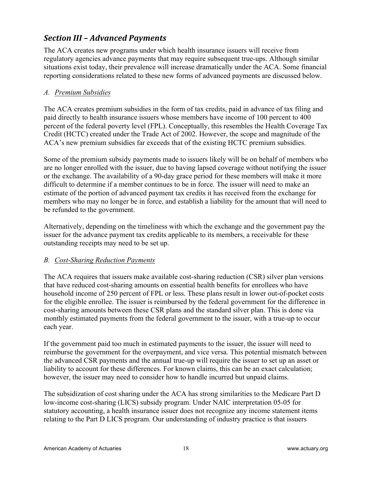## *Section)III)– Advanced)Payments)*

The ACA creates new programs under which health insurance issuers will receive from regulatory agencies advance payments that may require subsequent true-ups. Although similar situations exist today, their prevalence will increase dramatically under the ACA. Some financial reporting considerations related to these new forms of advanced payments are discussed below.

#### *A. Premium Subsidies*

The ACA creates premium subsidies in the form of tax credits, paid in advance of tax filing and paid directly to health insurance issuers whose members have income of 100 percent to 400 percent of the federal poverty level (FPL). Conceptually, this resembles the Health Coverage Tax Credit (HCTC) created under the Trade Act of 2002. However, the scope and magnitude of the ACA's new premium subsidies far exceeds that of the existing HCTC premium subsidies.

Some of the premium subsidy payments made to issuers likely will be on behalf of members who are no longer enrolled with the issuer, due to having lapsed coverage without notifying the issuer or the exchange. The availability of a 90-day grace period for these members will make it more difficult to determine if a member continues to be in force. The issuer will need to make an estimate of the portion of advanced payment tax credits it has received from the exchange for members who may no longer be in force, and establish a liability for the amount that will need to be refunded to the government.

Alternatively, depending on the timeliness with which the exchange and the government pay the issuer for the advance payment tax credits applicable to its members, a receivable for these outstanding receipts may need to be set up.

#### *B. Cost-Sharing Reduction Payments*

The ACA requires that issuers make available cost-sharing reduction (CSR) silver plan versions that have reduced cost-sharing amounts on essential health benefits for enrollees who have household income of 250 percent of FPL or less. These plans result in lower out-of-pocket costs for the eligible enrollee. The issuer is reimbursed by the federal government for the difference in cost-sharing amounts between these CSR plans and the standard silver plan. This is done via monthly estimated payments from the federal government to the issuer, with a true-up to occur each year.

If the government paid too much in estimated payments to the issuer, the issuer will need to reimburse the government for the overpayment, and vice versa. This potential mismatch between the advanced CSR payments and the annual true-up will require the issuer to set up an asset or liability to account for these differences. For known claims, this can be an exact calculation; however, the issuer may need to consider how to handle incurred but unpaid claims.

The subsidization of cost sharing under the ACA has strong similarities to the Medicare Part D low-income cost-sharing (LICS) subsidy program. Under NAIC interpretation 05-05 for statutory accounting, a health insurance issuer does not recognize any income statement items relating to the Part D LICS program. Our understanding of industry practice is that issuers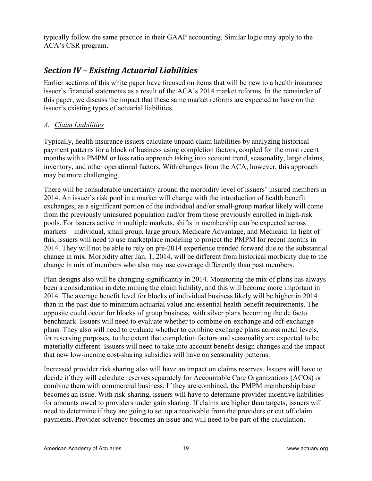typically follow the same practice in their GAAP accounting. Similar logic may apply to the ACA's CSR program.

## *Section)IV)– Existing)Actuarial)Liabilities*

Earlier sections of this white paper have focused on items that will be new to a health insurance issuer's financial statements as a result of the ACA's 2014 market reforms. In the remainder of this paper, we discuss the impact that these same market reforms are expected to have on the issuer's existing types of actuarial liabilities.

#### *A. Claim Liabilities*

Typically, health insurance issuers calculate unpaid claim liabilities by analyzing historical payment patterns for a block of business using completion factors, coupled for the most recent months with a PMPM or loss ratio approach taking into account trend, seasonality, large claims, inventory, and other operational factors. With changes from the ACA, however, this approach may be more challenging.

There will be considerable uncertainty around the morbidity level of issuers' insured members in 2014. An issuer's risk pool in a market will change with the introduction of health benefit exchanges, as a significant portion of the individual and/or small-group market likely will come from the previously uninsured population and/or from those previously enrolled in high-risk pools. For issuers active in multiple markets, shifts in membership can be expected across markets—individual, small group, large group, Medicare Advantage, and Medicaid. In light of this, issuers will need to use marketplace modeling to project the PMPM for recent months in 2014. They will not be able to rely on pre-2014 experience trended forward due to the substantial change in mix. Morbidity after Jan. 1, 2014, will be different from historical morbidity due to the change in mix of members who also may use coverage differently than past members.

Plan designs also will be changing significantly in 2014. Monitoring the mix of plans has always been a consideration in determining the claim liability, and this will become more important in 2014. The average benefit level for blocks of individual business likely will be higher in 2014 than in the past due to minimum actuarial value and essential health benefit requirements. The opposite could occur for blocks of group business, with silver plans becoming the de facto benchmark. Issuers will need to evaluate whether to combine on-exchange and off-exchange plans. They also will need to evaluate whether to combine exchange plans across metal levels, for reserving purposes, to the extent that completion factors and seasonality are expected to be materially different. Issuers will need to take into account benefit design changes and the impact that new low-income cost-sharing subsidies will have on seasonality patterns.

Increased provider risk sharing also will have an impact on claims reserves. Issuers will have to decide if they will calculate reserves separately for Accountable Care Organizations (ACOs) or combine them with commercial business. If they are combined, the PMPM membership base becomes an issue. With risk-sharing, issuers will have to determine provider incentive liabilities for amounts owed to providers under gain sharing. If claims are higher than targets, issuers will need to determine if they are going to set up a receivable from the providers or cut off claim payments. Provider solvency becomes an issue and will need to be part of the calculation.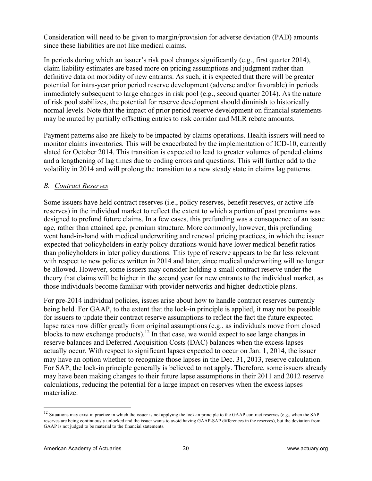Consideration will need to be given to margin/provision for adverse deviation (PAD) amounts since these liabilities are not like medical claims.

In periods during which an issuer's risk pool changes significantly (e.g., first quarter 2014), claim liability estimates are based more on pricing assumptions and judgment rather than definitive data on morbidity of new entrants. As such, it is expected that there will be greater potential for intra-year prior period reserve development (adverse and/or favorable) in periods immediately subsequent to large changes in risk pool (e.g., second quarter 2014). As the nature of risk pool stabilizes, the potential for reserve development should diminish to historically normal levels. Note that the impact of prior period reserve development on financial statements may be muted by partially offsetting entries to risk corridor and MLR rebate amounts.

Payment patterns also are likely to be impacted by claims operations. Health issuers will need to monitor claims inventories. This will be exacerbated by the implementation of ICD-10, currently slated for October 2014. This transition is expected to lead to greater volumes of pended claims and a lengthening of lag times due to coding errors and questions. This will further add to the volatility in 2014 and will prolong the transition to a new steady state in claims lag patterns.

#### *B. Contract Reserves*

Some issuers have held contract reserves (i.e., policy reserves, benefit reserves, or active life reserves) in the individual market to reflect the extent to which a portion of past premiums was designed to prefund future claims. In a few cases, this prefunding was a consequence of an issue age, rather than attained age, premium structure. More commonly, however, this prefunding went hand-in-hand with medical underwriting and renewal pricing practices, in which the issuer expected that policyholders in early policy durations would have lower medical benefit ratios than policyholders in later policy durations. This type of reserve appears to be far less relevant with respect to new policies written in 2014 and later, since medical underwriting will no longer be allowed. However, some issuers may consider holding a small contract reserve under the theory that claims will be higher in the second year for new entrants to the individual market, as those individuals become familiar with provider networks and higher-deductible plans.

For pre-2014 individual policies, issues arise about how to handle contract reserves currently being held. For GAAP, to the extent that the lock-in principle is applied, it may not be possible for issuers to update their contract reserve assumptions to reflect the fact the future expected lapse rates now differ greatly from original assumptions (e.g., as individuals move from closed blocks to new exchange products).<sup>12</sup> In that case, we would expect to see large changes in reserve balances and Deferred Acquisition Costs (DAC) balances when the excess lapses actually occur. With respect to significant lapses expected to occur on Jan. 1, 2014, the issuer may have an option whether to recognize those lapses in the Dec. 31, 2013, reserve calculation. For SAP, the lock-in principle generally is believed to not apply. Therefore, some issuers already may have been making changes to their future lapse assumptions in their 2011 and 2012 reserve calculations, reducing the potential for a large impact on reserves when the excess lapses materialize.

 $12$  Situations may exist in practice in which the issuer is not applying the lock-in principle to the GAAP contract reserves (e.g., when the SAP reserves are being continuously unlocked and the issuer wants to avoid having GAAP-SAP differences in the reserves), but the deviation from GAAP is not judged to be material to the financial statements.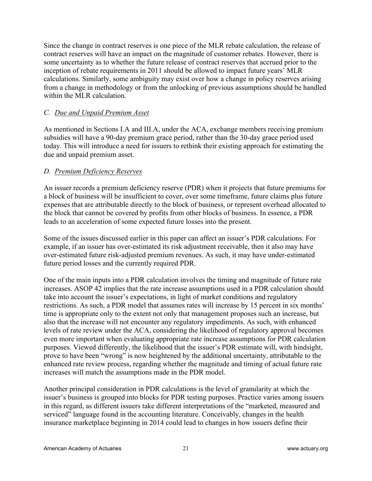Since the change in contract reserves is one piece of the MLR rebate calculation, the release of contract reserves will have an impact on the magnitude of customer rebates. However, there is some uncertainty as to whether the future release of contract reserves that accrued prior to the inception of rebate requirements in 2011 should be allowed to impact future years' MLR calculations. Similarly, some ambiguity may exist over how a change in policy reserves arising from a change in methodology or from the unlocking of previous assumptions should be handled within the MLR calculation.

#### *C. Due and Unpaid Premium Asset*

As mentioned in Sections I.A and III.A, under the ACA, exchange members receiving premium subsidies will have a 90-day premium grace period, rather than the 30-day grace period used today. This will introduce a need for issuers to rethink their existing approach for estimating the due and unpaid premium asset.

#### *D. Premium Deficiency Reserves*

An issuer records a premium deficiency reserve (PDR) when it projects that future premiums for a block of business will be insufficient to cover, over some timeframe, future claims plus future expenses that are attributable directly to the block of business, or represent overhead allocated to the block that cannot be covered by profits from other blocks of business. In essence, a PDR leads to an acceleration of some expected future losses into the present.

Some of the issues discussed earlier in this paper can affect an issuer's PDR calculations. For example, if an issuer has over-estimated its risk adjustment receivable, then it also may have over-estimated future risk-adjusted premium revenues. As such, it may have under-estimated future period losses and the currently required PDR.

One of the main inputs into a PDR calculation involves the timing and magnitude of future rate increases. ASOP 42 implies that the rate increase assumptions used in a PDR calculation should take into account the issuer's expectations, in light of market conditions and regulatory restrictions. As such, a PDR model that assumes rates will increase by 15 percent in six months' time is appropriate only to the extent not only that management proposes such an increase, but also that the increase will not encounter any regulatory impediments. As such, with enhanced levels of rate review under the ACA, considering the likelihood of regulatory approval becomes even more important when evaluating appropriate rate increase assumptions for PDR calculation purposes. Viewed differently, the likelihood that the issuer's PDR estimate will, with hindsight, prove to have been "wrong" is now heightened by the additional uncertainty, attributable to the enhanced rate review process, regarding whether the magnitude and timing of actual future rate increases will match the assumptions made in the PDR model.

Another principal consideration in PDR calculations is the level of granularity at which the issuer's business is grouped into blocks for PDR testing purposes. Practice varies among issuers in this regard, as different issuers take different interpretations of the "marketed, measured and serviced" language found in the accounting literature. Conceivably, changes in the health insurance marketplace beginning in 2014 could lead to changes in how issuers define their